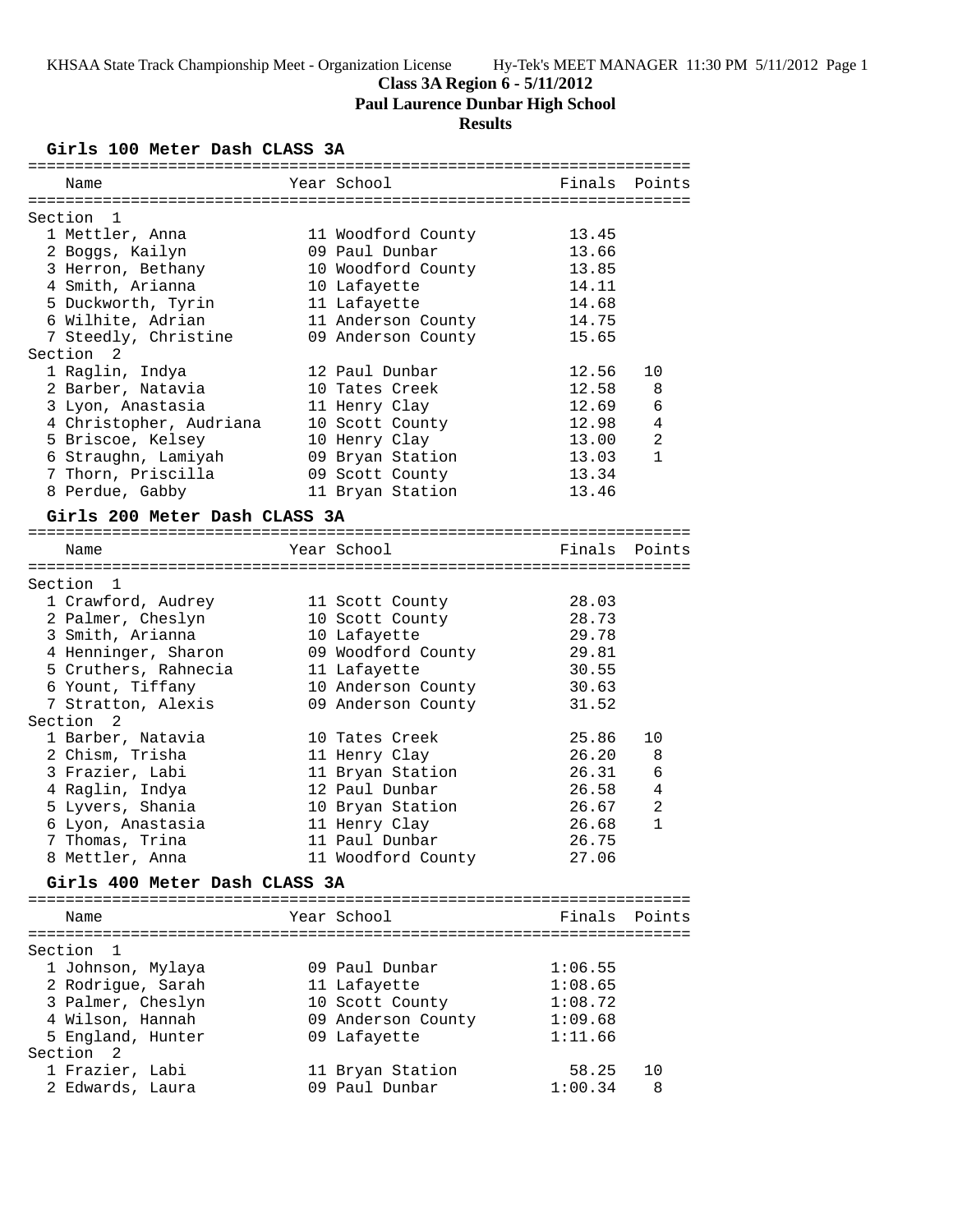# **Class 3A Region 6 - 5/11/2012**

**Paul Laurence Dunbar High School**

# **Results**

## **Girls 100 Meter Dash CLASS 3A**

| Name                                  | Year School                        |         | Finals Points  |
|---------------------------------------|------------------------------------|---------|----------------|
|                                       |                                    |         |                |
| Section<br>$\mathbf{1}$               |                                    |         |                |
| 1 Mettler, Anna                       | 11 Woodford County                 | 13.45   |                |
| 2 Boggs, Kailyn                       | 09 Paul Dunbar                     | 13.66   |                |
| 3 Herron, Bethany                     | 10 Woodford County                 | 13.85   |                |
| 4 Smith, Arianna                      | 10 Lafayette                       | 14.11   |                |
| 5 Duckworth, Tyrin                    | 11 Lafayette                       | 14.68   |                |
| 6 Wilhite, Adrian                     | 11 Anderson County                 | 14.75   |                |
| 7 Steedly, Christine                  | 09 Anderson County                 | 15.65   |                |
| Section<br>2                          |                                    |         |                |
| 1 Raglin, Indya                       | 12 Paul Dunbar                     | 12.56   | 10             |
| 2 Barber, Natavia                     | 10 Tates Creek                     | 12.58   | 8              |
| 3 Lyon, Anastasia                     | 11 Henry Clay                      | 12.69   | 6              |
| 4 Christopher, Audriana               | 10 Scott County                    | 12.98   | 4              |
| 5 Briscoe, Kelsey                     | 10 Henry Clay                      | 13.00   | $\overline{2}$ |
| 6 Straughn, Lamiyah                   | 09 Bryan Station                   | 13.03   | $\mathbf{1}$   |
| 7 Thorn, Priscilla                    | 09 Scott County                    | 13.34   |                |
| 8 Perdue, Gabby                       | 11 Bryan Station                   | 13.46   |                |
| Girls 200 Meter Dash CLASS 3A         |                                    |         |                |
|                                       |                                    |         |                |
| Name                                  | Year School                        | Finals  | Points         |
| Section 1                             |                                    |         |                |
| 1 Crawford, Audrey                    | 11 Scott County                    | 28.03   |                |
| 2 Palmer, Cheslyn                     | 10 Scott County                    | 28.73   |                |
| 3 Smith, Arianna                      | 10 Lafayette                       | 29.78   |                |
| 4 Henninger, Sharon                   | 09 Woodford County                 | 29.81   |                |
| 5 Cruthers, Rahnecia                  | 11 Lafayette                       | 30.55   |                |
| 6 Yount, Tiffany                      | 10 Anderson County                 | 30.63   |                |
| 7 Stratton, Alexis                    |                                    | 31.52   |                |
| Section<br>$\overline{2}$             | 09 Anderson County                 |         |                |
| 1 Barber, Natavia                     | 10 Tates Creek                     | 25.86   | 10             |
| 2 Chism, Trisha                       |                                    | 26.20   |                |
|                                       | 11 Henry Clay                      | 26.31   | 8<br>6         |
| 3 Frazier, Labi<br>4 Raglin, Indya    | 11 Bryan Station<br>12 Paul Dunbar | 26.58   | 4              |
|                                       |                                    | 26.67   | 2              |
| 5 Lyvers, Shania<br>6 Lyon, Anastasia | 10 Bryan Station                   | 26.68   | 1              |
|                                       | 11 Henry Clay                      |         |                |
| 7 Thomas, Trina                       | 11 Paul Dunbar                     | 26.75   |                |
| 8 Mettler, Anna                       | 11 Woodford County                 | 27.06   |                |
| Girls 400 Meter Dash CLASS 3A         |                                    |         |                |
|                                       |                                    |         |                |
| Name                                  | Year School                        | Finals  | Points         |
|                                       |                                    |         |                |
| Section<br>1                          |                                    |         |                |
| 1 Johnson, Mylaya                     | 09 Paul Dunbar                     | 1:06.55 |                |
| 2 Rodrigue, Sarah                     | 11 Lafayette                       | 1:08.65 |                |
| 3 Palmer, Cheslyn                     | 10 Scott County                    | 1:08.72 |                |
| 4 Wilson, Hannah                      | 09 Anderson County                 | 1:09.68 |                |
| 5 England, Hunter                     | 09 Lafayette                       | 1:11.66 |                |
| Section<br>2                          |                                    |         |                |
| 1 Frazier, Labi                       | 11 Bryan Station                   | 58.25   | 10             |

2 Edwards, Laura 09 Paul Dunbar 1:00.34 8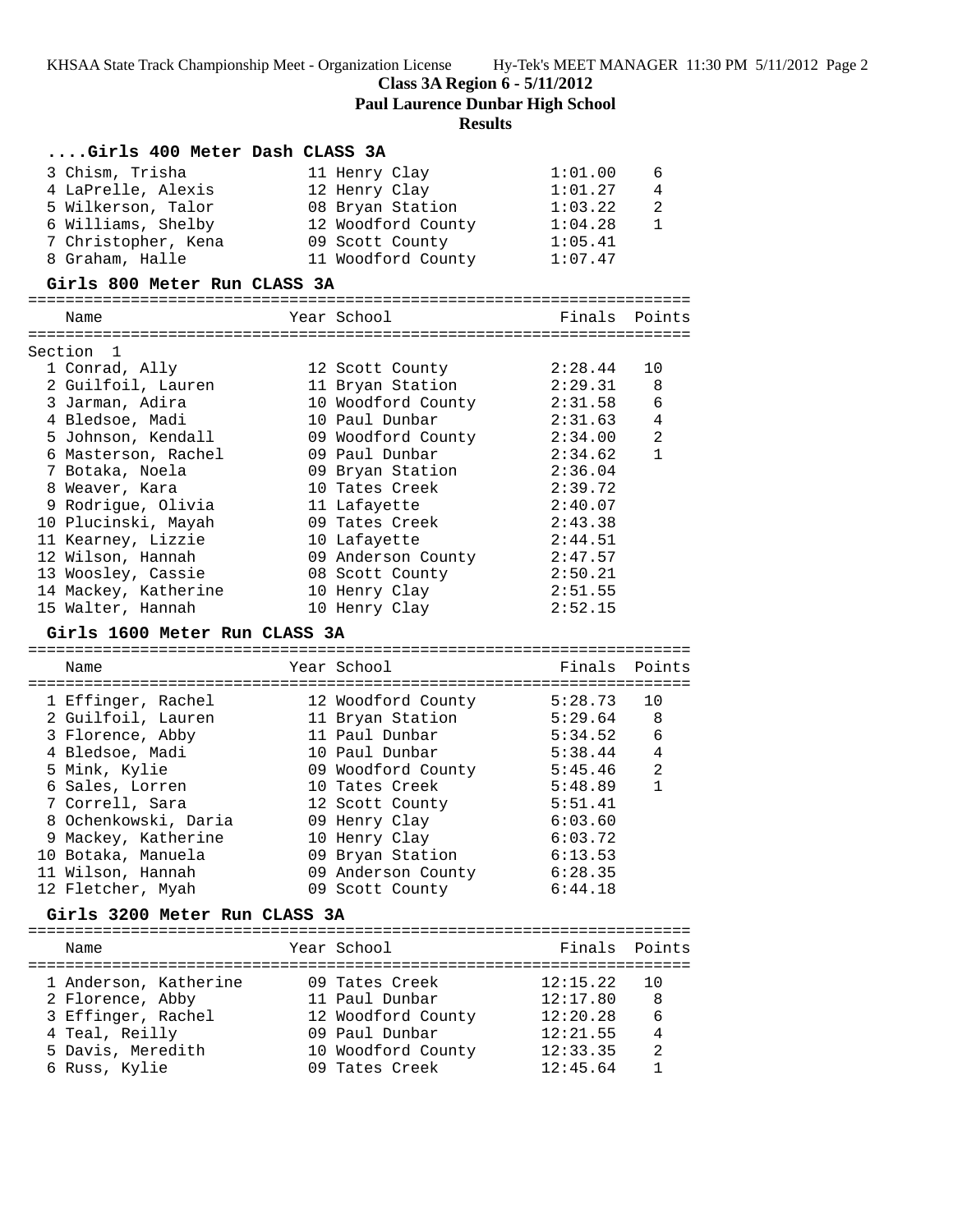**Paul Laurence Dunbar High School**

# **Results**

| Girls 400 Meter Dash CLASS 3A       |                            |               |                |
|-------------------------------------|----------------------------|---------------|----------------|
| 3 Chism, Trisha                     | 11 Henry Clay              | 1:01.00       | 6              |
| 4 LaPrelle, Alexis                  | 12 Henry Clay              | 1:01.27       | 4              |
| 5 Wilkerson, Talor                  | 08 Bryan Station           | 1:03.22       | $\overline{a}$ |
| 6 Williams, Shelby                  | 12 Woodford County 1:04.28 |               | $\mathbf{1}$   |
| 7 Christopher, Kena                 | 09 Scott County            | 1:05.41       |                |
| 8 Graham, Halle                     | 11 Woodford County         | 1:07.47       |                |
| Girls 800 Meter Run CLASS 3A        |                            |               |                |
|                                     |                            |               |                |
| Name                                | Year School                | Finals Points |                |
| Section 1                           |                            |               |                |
| 1 Conrad, Ally                      | 12 Scott County            | 2:28.44       | 10             |
| 2 Guilfoil, Lauren                  | 11 Bryan Station           | 2:29.31       | 8              |
| 3 Jarman, Adira                     | 10 Woodford County         | 2:31.58       | 6              |
| 4 Bledsoe, Madi                     | 10 Paul Dunbar             | 2:31.63       | 4              |
| 5 Johnson, Kendall                  | 09 Woodford County         | 2:34.00       | 2              |
| 6 Masterson, Rachel                 | 09 Paul Dunbar             | 2:34.62       | $\mathbf{1}$   |
| 7 Botaka, Noela                     | 09 Bryan Station           | 2:36.04       |                |
| 8 Weaver, Kara                      | 10 Tates Creek             | 2:39.72       |                |
| 9 Rodrigue, Olivia                  | 11 Lafayette               | 2:40.07       |                |
| 10 Plucinski, Mayah                 | 09 Tates Creek             | 2:43.38       |                |
| 11 Kearney, Lizzie                  | 10 Lafayette               | 2:44.51       |                |
| 12 Wilson, Hannah                   | 09 Anderson County         | 2:47.57       |                |
| 13 Woosley, Cassie                  | 08 Scott County            | 2:50.21       |                |
| 14 Mackey, Katherine                | 10 Henry Clay              | 2:51.55       |                |
| 15 Walter, Hannah                   | 10 Henry Clay              | 2:52.15       |                |
|                                     |                            |               |                |
| Girls 1600 Meter Run CLASS 3A       |                            |               |                |
|                                     |                            |               |                |
| Name                                | Year School                | Finals        | Points         |
|                                     |                            |               |                |
| 1 Effinger, Rachel                  | 12 Woodford County         | 5:28.73       | 10             |
| 2 Guilfoil, Lauren                  | 11 Bryan Station           | 5:29.64       | 8              |
| 3 Florence, Abby                    | 11 Paul Dunbar             | 5:34.52       | 6              |
| 4 Bledsoe, Madi                     | 10 Paul Dunbar             | 5:38.44       | $\overline{4}$ |
| 5 Mink, Kylie                       | 09 Woodford County         | 5:45.46       | 2              |
| 6 Sales, Lorren                     | 10 Tates Creek             | 5:48.89       | $\mathbf{1}$   |
| 7 Correll, Sara                     | 12 Scott County            | 5:51.41       |                |
| 8 Ochenkowski, Daria                | 09 Henry Clay              | 6:03.60       |                |
| 9 Mackey, Katherine                 | 10 Henry Clay              | 6:03.72       |                |
| 10 Botaka, Manuela                  | 09 Bryan Station           | 6:13.53       |                |
| 11 Wilson, Hannah                   | 09 Anderson County         | 6:28.35       |                |
| 12 Fletcher, Myah                   | 09 Scott County            | 6:44.18       |                |
| Girls 3200 Meter Run CLASS 3A       |                            |               |                |
|                                     |                            |               |                |
| Name                                | Year School                | Finals Points |                |
| 1 Anderson, Katherine               | 09 Tates Creek             | 12:15.22      | 10             |
| 2 Florence, Abby                    | 11 Paul Dunbar             | 12:17.80      | 8              |
| 3 Effinger, Rachel                  | 12 Woodford County         | 12:20.28      | 6              |
|                                     | 09 Paul Dunbar             | 12:21.55      | 4              |
| 4 Teal, Reilly<br>5 Davis, Meredith | 10 Woodford County         | 12:33.35      | 2              |
| 6 Russ, Kylie                       | 09 Tates Creek             | 12:45.64      | $\mathbf{1}$   |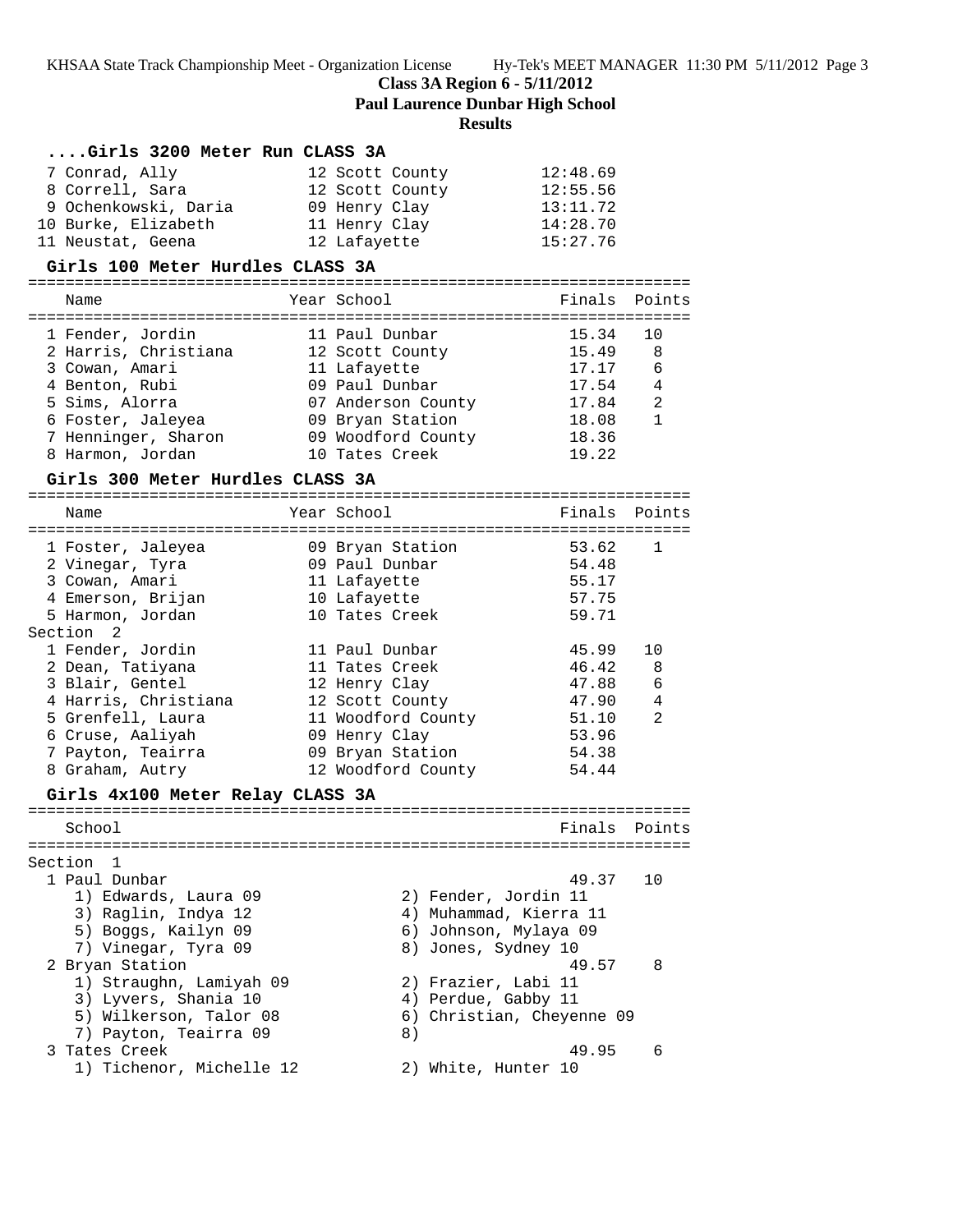**Class 3A Region 6 - 5/11/2012**

**Paul Laurence Dunbar High School**

# **Results**

| Girls 3200 Meter Run CLASS 3A    |                       |                           |                |
|----------------------------------|-----------------------|---------------------------|----------------|
| 7 Conrad, Ally                   | 12 Scott County       | 12:48.69                  |                |
| 8 Correll, Sara                  | 12 Scott County       | 12:55.56                  |                |
| 9 Ochenkowski, Daria             | 09 Henry Clay         | 13:11.72                  |                |
| 10 Burke, Elizabeth              | 11 Henry Clay         | 14:28.70                  |                |
| 11 Neustat, Geena                | 12 Lafayette          | 15:27.76                  |                |
| Girls 100 Meter Hurdles CLASS 3A |                       |                           |                |
| Name                             | Year School           | Finals                    | Points         |
|                                  |                       |                           |                |
| 1 Fender, Jordin                 | 11 Paul Dunbar        | 15.34                     | 10             |
| 2 Harris, Christiana             | 12 Scott County       | 15.49                     | 8              |
| 3 Cowan, Amari                   | 11 Lafayette          | 17.17                     | 6              |
| 4 Benton, Rubi                   | 09 Paul Dunbar        | 17.54                     | $\overline{4}$ |
| 5 Sims, Alorra                   | 07 Anderson County    | 17.84                     | 2              |
| 6 Foster, Jaleyea                | 09 Bryan Station      | 18.08                     | $\mathbf{1}$   |
| 7 Henninger, Sharon              | 09 Woodford County    | 18.36                     |                |
| 8 Harmon, Jordan                 | 10 Tates Creek        | 19.22                     |                |
| Girls 300 Meter Hurdles CLASS 3A |                       |                           |                |
|                                  |                       |                           |                |
| Name                             | Year School           | Finals                    | Points         |
|                                  |                       |                           |                |
| 1 Foster, Jaleyea                | 09 Bryan Station      | 53.62                     | 1              |
| 2 Vinegar, Tyra                  | 09 Paul Dunbar        | 54.48                     |                |
| 3 Cowan, Amari                   | 11 Lafayette          | 55.17                     |                |
| 4 Emerson, Brijan                | 10 Lafayette          | 57.75                     |                |
| 5 Harmon, Jordan                 | 10 Tates Creek        | 59.71                     |                |
| Section 2                        |                       |                           |                |
| 1 Fender, Jordin                 | 11 Paul Dunbar        | 45.99                     | 10             |
| 2 Dean, Tatiyana                 | 11 Tates Creek        | 46.42                     | 8              |
| 3 Blair, Gentel                  | 12 Henry Clay         | 47.88                     | $\epsilon$     |
| 4 Harris, Christiana             | 12 Scott County       | 47.90                     | 4              |
| 5 Grenfell, Laura                | 11 Woodford County    | 51.10                     | 2              |
| 6 Cruse, Aaliyah                 | 09 Henry Clay         | 53.96                     |                |
| 7 Payton, Teairra                | 09 Bryan Station      | 54.38                     |                |
| 8 Graham, Autry                  | 12 Woodford County    | 54.44                     |                |
| Girls 4x100 Meter Relay CLASS 3A |                       |                           |                |
| School                           |                       | Finals Points             |                |
|                                  |                       |                           |                |
| Section<br>$\mathbf{1}$          |                       |                           |                |
| 1 Paul Dunbar                    |                       | 49.37                     | 10             |
| 1) Edwards, Laura 09             | 2) Fender, Jordin 11  |                           |                |
| 3) Raglin, Indya 12              |                       | 4) Muhammad, Kierra 11    |                |
| 5) Boggs, Kailyn 09              | 6) Johnson, Mylaya 09 |                           |                |
| 7) Vinegar, Tyra 09              | 8) Jones, Sydney 10   |                           |                |
| 2 Bryan Station                  |                       | 49.57                     | 8              |
| 1) Straughn, Lamiyah 09          | 2) Frazier, Labi 11   |                           |                |
| 3) Lyvers, Shania 10             | 4) Perdue, Gabby 11   |                           |                |
| 5) Wilkerson, Talor 08           |                       | 6) Christian, Cheyenne 09 |                |
| 7) Payton, Teairra 09            | 8)                    |                           |                |
| 3 Tates Creek                    |                       | 49.95                     | 6              |
| 1) Tichenor, Michelle 12         | 2) White, Hunter 10   |                           |                |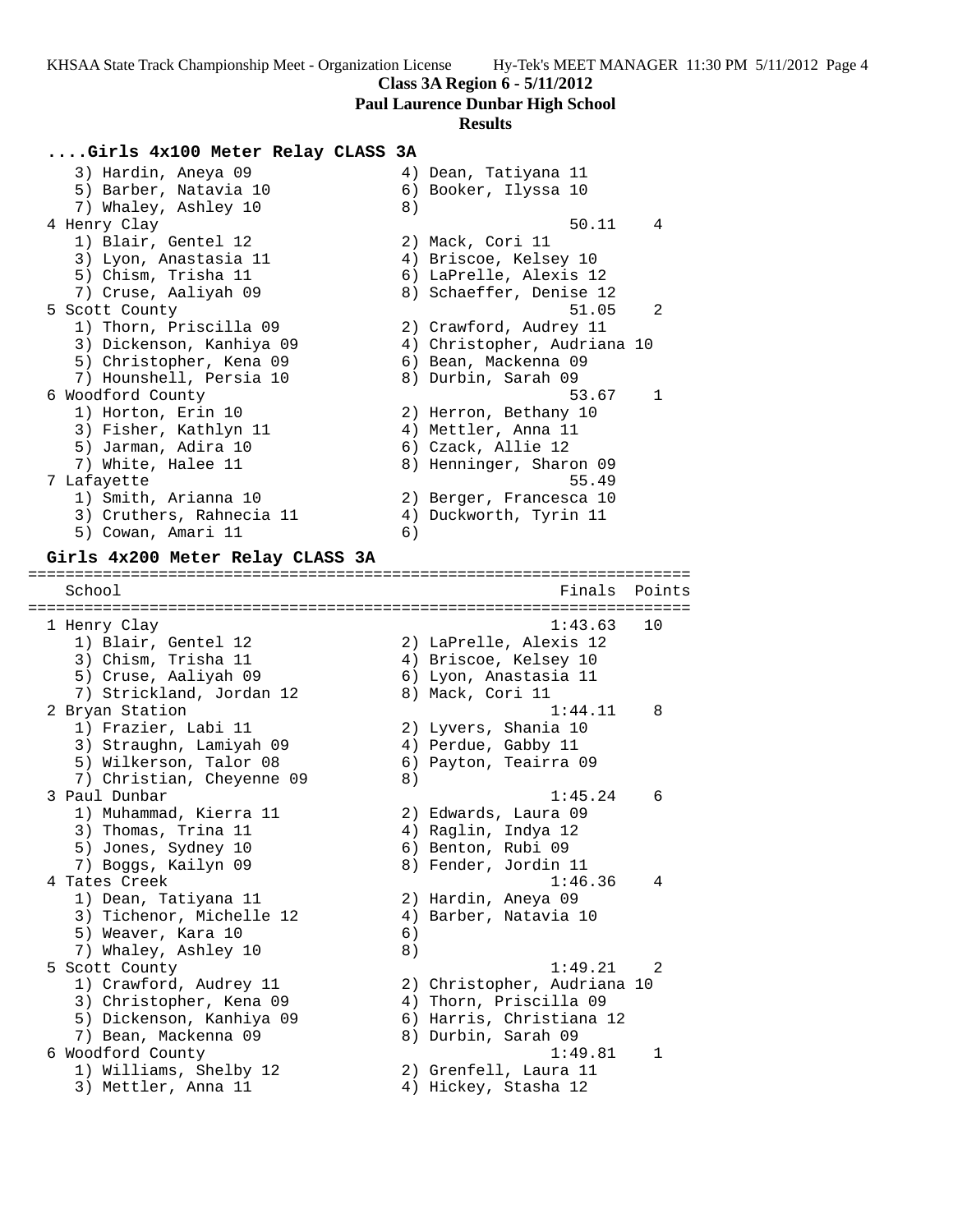**Paul Laurence Dunbar High School**

#### **Results**

### **....Girls 4x100 Meter Relay CLASS 3A**

3) Hardin, Aneya 09 4) Dean, Tatiyana 11 5) Barber, Natavia 10 (6) Booker, Ilyssa 10 7) Whaley, Ashley 10 8) 4 Henry Clay 50.11 4 1) Blair, Gentel 12 (2) Mack, Cori 11 3) Lyon, Anastasia 11 4) Briscoe, Kelsey 10 5) Chism, Trisha 11 6) LaPrelle, Alexis 12 7) Cruse, Aaliyah 09 8) Schaeffer, Denise 12 5 Scott County 51.05 2 1) Thorn, Priscilla 09 2) Crawford, Audrey 11 3) Dickenson, Kanhiya 09 4) Christopher, Audriana 10 5) Christopher, Kena 09 6) Bean, Mackenna 09 7) Hounshell, Persia 10 8) Durbin, Sarah 09 6 Woodford County 53.67 1 1) Horton, Erin 10 2) Herron, Bethany 10 3) Fisher, Kathlyn 11  $\qquad \qquad$  4) Mettler, Anna 11 5) Jarman, Adira 10 (6) Czack, Allie 12 7) White, Halee 11 8) Henninger, Sharon 09 7 Lafayette 55.49 1) Smith, Arianna 10 2) Berger, Francesca 10 3) Cruthers, Rahnecia 11 4) Duckworth, Tyrin 11 5) Cowan, Amari 11 6)

### **Girls 4x200 Meter Relay CLASS 3A**

School **Finals Points** Points **Points** Points **Points** Points **Points** Points **Points** ======================================================================= 1 Henry Clay 1:43.63 10 1) Blair, Gentel 12 2) LaPrelle, Alexis 12 3) Chism, Trisha 11 4) Briscoe, Kelsey 10 5) Cruse, Aaliyah 09 6) Lyon, Anastasia 11 7) Strickland, Jordan 12 8) Mack, Cori 11 2 Bryan Station 1:44.11 8 1) Frazier, Labi 11 2) Lyvers, Shania 10 3) Straughn, Lamiyah 09 4) Perdue, Gabby 11 5) Wilkerson, Talor 08 6) Payton, Teairra 09 7) Christian, Cheyenne 09 8) 3 Paul Dunbar 1:45.24 6 1) Muhammad, Kierra 11 2) Edwards, Laura 09 3) Thomas, Trina 11 (4) Raglin, Indya 12 5) Jones, Sydney 10 (6) Benton, Rubi 09 7) Boggs, Kailyn 09 1888 800 Fender, Jordin 11 4 Tates Creek 1:46.36 4 1) Dean, Tatiyana 11 2) Hardin, Aneya 09 3) Tichenor, Michelle 12 4) Barber, Natavia 10 5) Weaver, Kara 10 (6) 7) Whaley, Ashley 10 8) 5 Scott County 1:49.21 2 1) Crawford, Audrey 11 2) Christopher, Audriana 10 3) Christopher, Kena 09 4) Thorn, Priscilla 09 5) Dickenson, Kanhiya 09 6) Harris, Christiana 12 7) Bean, Mackenna 09 8) Durbin, Sarah 09 6 Woodford County 1:49.81 1 1) Williams, Shelby 12 2) Grenfell, Laura 11 3) Mettler, Anna 11 (4) Hickey, Stasha 12

=======================================================================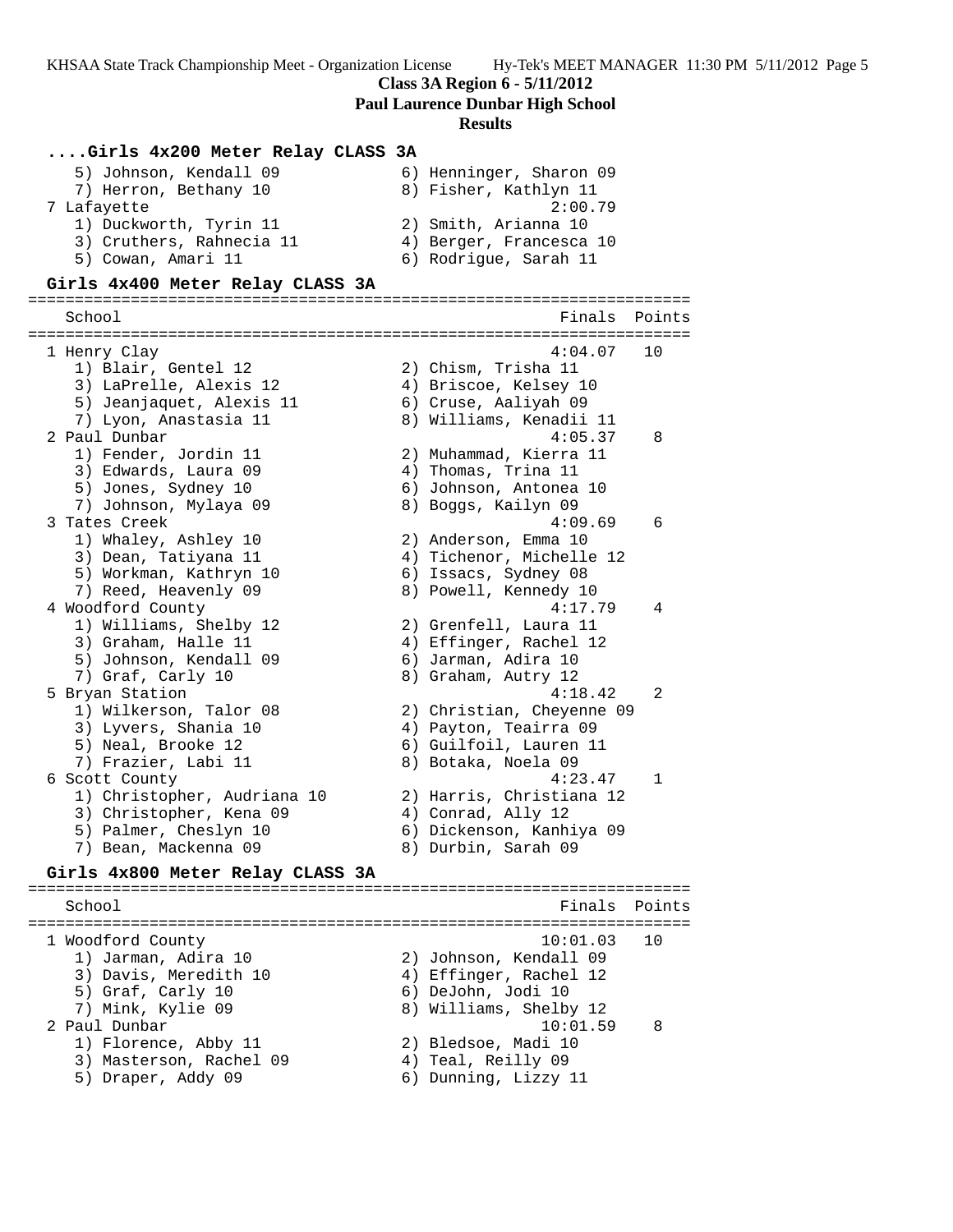**Class 3A Region 6 - 5/11/2012**

**Paul Laurence Dunbar High School**

#### **Results**

### **....Girls 4x200 Meter Relay CLASS 3A**

| 5) Johnson, Kendall 09   | 6) Henninger, Sharon 09 |
|--------------------------|-------------------------|
| 7) Herron, Bethany 10    | 8) Fisher, Kathlyn 11   |
| 7 Lafayette              | 2:00.79                 |
| 1) Duckworth, Tyrin 11   | 2) Smith, Arianna 10    |
| 3) Cruthers, Rahnecia 11 | 4) Berger, Francesca 10 |
| 5) Cowan, Amari 11       | 6) Rodrique, Sarah 11   |

#### **Girls 4x400 Meter Relay CLASS 3A**

======================================================================= Finals Points ======================================================================= 1 Henry Clay 4:04.07 10 1) Blair, Gentel 12 2) Chism, Trisha 11 3) LaPrelle, Alexis 12 4) Briscoe, Kelsey 10 5) Jeanjaquet, Alexis 11 6) Cruse, Aaliyah 09 7) Lyon, Anastasia 11 8) Williams, Kenadii 11 2 Paul Dunbar 4:05.37 8 1) Fender, Jordin 11 2) Muhammad, Kierra 11 3) Edwards, Laura 09 4) Thomas, Trina 11 5) Jones, Sydney 10 6) Johnson, Antonea 10 7) Johnson, Mylaya 09 8) Boggs, Kailyn 09 3 Tates Creek 4:09.69 6 1) Whaley, Ashley 10 2) Anderson, Emma 10 3) Dean, Tatiyana 11 4) Tichenor, Michelle 12 5) Workman, Kathryn 10 (6) Issacs, Sydney 08 7) Reed, Heavenly 09 8) Powell, Kennedy 10 4 Woodford County 4:17.79 4 1) Williams, Shelby 12 2) Grenfell, Laura 11 3) Graham, Halle 11 4) Effinger, Rachel 12 5) Johnson, Kendall 09 6) Jarman, Adira 10 7) Graf, Carly 10 8) Graham, Autry 12 5 Bryan Station 4:18.42 2 1) Wilkerson, Talor 08 2) Christian, Cheyenne 09 3) Lyvers, Shania 10 4) Payton, Teairra 09 5) Neal, Brooke 12 6) Guilfoil, Lauren 11 7) Frazier, Labi 11 and 8) Botaka, Noela 09 6 Scott County 4:23.47 1 1) Christopher, Audriana 10 2) Harris, Christiana 12 3) Christopher, Kena 09 (4) Conrad, Ally 12 5) Palmer, Cheslyn 10 6) Dickenson, Kanhiya 09 7) Bean, Mackenna 09 8) Durbin, Sarah 09

#### **Girls 4x800 Meter Relay CLASS 3A**

======================================================================= School **Finals Points** ======================================================================= 1 Woodford County 10:01.03 10 1) Jarman, Adira 10 2) Johnson, Kendall 09 3) Davis, Meredith 10 4) Effinger, Rachel 12 5) Graf, Carly 10 6) DeJohn, Jodi 10 7) Mink, Kylie 09 8) Williams, Shelby 12 2 Paul Dunbar 10:01.59 8 1) Florence, Abby 11 2) Bledsoe, Madi 10 3) Masterson, Rachel 09 (4) Teal, Reilly 09 5) Draper, Addy 09 6) Dunning, Lizzy 11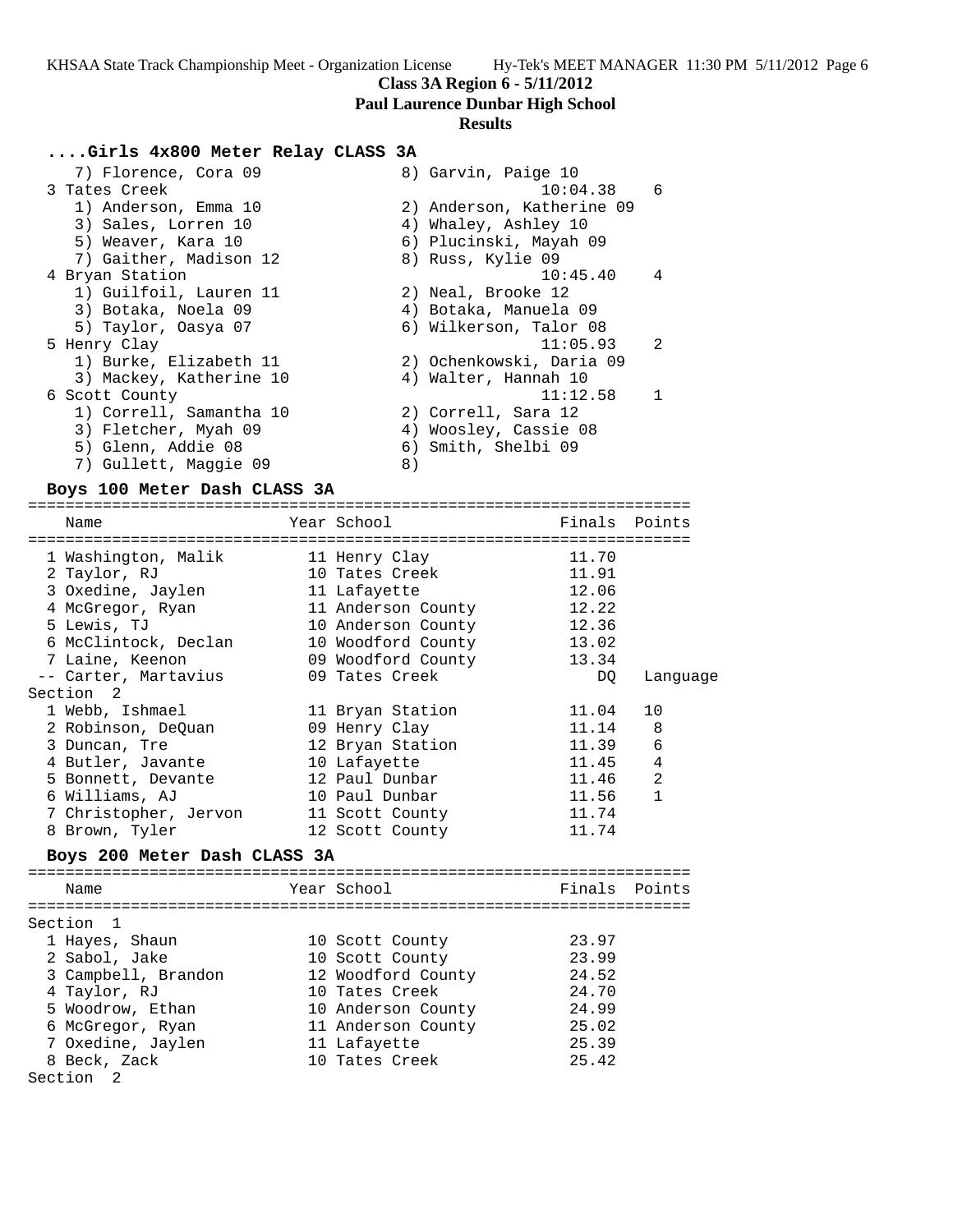# **Class 3A Region 6 - 5/11/2012**

**Paul Laurence Dunbar High School**

# **Results**

## **....Girls 4x800 Meter Relay CLASS 3A**

| 7) Florence, Cora 09    | 8) Garvin, Paige 10       |
|-------------------------|---------------------------|
| 3 Tates Creek           | 10:04.38<br>6             |
| 1) Anderson, Emma 10    | 2) Anderson, Katherine 09 |
| 3) Sales, Lorren 10     | 4) Whaley, Ashley 10      |
| 5) Weaver, Kara 10      | 6) Plucinski, Mayah 09    |
| 7) Gaither, Madison 12  | 8) Russ, Kylie 09         |
| 4 Bryan Station         | 10:45.40<br>$\frac{4}{3}$ |
| 1) Guilfoil, Lauren 11  | 2) Neal, Brooke 12        |
| 3) Botaka, Noela 09     | 4) Botaka, Manuela 09     |
| 5) Taylor, Oasya 07     | 6) Wilkerson, Talor 08    |
| 5 Henry Clay            | 11:05.93<br>2             |
| 1) Burke, Elizabeth 11  | 2) Ochenkowski, Daria 09  |
| 3) Mackey, Katherine 10 | 4) Walter, Hannah 10      |
| 6 Scott County          | 11:12.58                  |
| 1) Correll, Samantha 10 | 2) Correll, Sara 12       |
| 3) Fletcher, Myah 09    | 4) Woosley, Cassie 08     |
| 5) Glenn, Addie 08      | 6) Smith, Shelbi 09       |
| 7) Gullett, Maggie 09   | 8)                        |

### **Boys 100 Meter Dash CLASS 3A**

=======================================================================

| Name                  | Year School        | Finals Points |              |
|-----------------------|--------------------|---------------|--------------|
| 1 Washington, Malik   | 11 Henry Clay      | 11.70         |              |
| 2 Taylor, RJ          | 10 Tates Creek     | 11.91         |              |
| 3 Oxedine, Jaylen     | 11 Lafayette       | 12.06         |              |
| 4 McGregor, Ryan      | 11 Anderson County | 12.22         |              |
| 5 Lewis, TJ           | 10 Anderson County | 12.36         |              |
| 6 McClintock, Declan  | 10 Woodford County | 13.02         |              |
| 7 Laine, Keenon       | 09 Woodford County | 13.34         |              |
| -- Carter, Martavius  | 09 Tates Creek     | DO            | Language     |
| Section 2             |                    |               |              |
| 1 Webb, Ishmael       | 11 Bryan Station   | 11.04         | 10           |
| 2 Robinson, DeQuan    | 09 Henry Clay      | 11.14         | 8            |
| 3 Duncan, Tre         | 12 Bryan Station   | 11.39         | 6            |
| 4 Butler, Javante     | 10 Lafayette       | 11.45         | 4            |
| 5 Bonnett, Devante    | 12 Paul Dunbar     | 11.46         | 2            |
| 6 Williams, AJ        | 10 Paul Dunbar     | 11.56         | $\mathbf{1}$ |
| 7 Christopher, Jervon | 11 Scott County    | 11.74         |              |
| 8 Brown, Tyler        | 12 Scott County    | 11.74         |              |

# **Boys 200 Meter Dash CLASS 3A**

| Name                 | Year School        | Finals Points |  |
|----------------------|--------------------|---------------|--|
|                      |                    |               |  |
| Section 1            |                    |               |  |
| 1 Hayes, Shaun       | 10 Scott County    | 23.97         |  |
| 2 Sabol, Jake        | 10 Scott County    | 23.99         |  |
| 3 Campbell, Brandon  | 12 Woodford County | 24.52         |  |
| 4 Taylor, RJ         | 10 Tates Creek     | 24.70         |  |
| 5 Woodrow, Ethan     | 10 Anderson County | 24.99         |  |
| 6 McGregor, Ryan     | 11 Anderson County | 25.02         |  |
| 7 Oxedine, Jaylen    | 11 Lafayette       | 25.39         |  |
| 8 Beck, Zack         | 10 Tates Creek     | 25.42         |  |
| Section <sub>2</sub> |                    |               |  |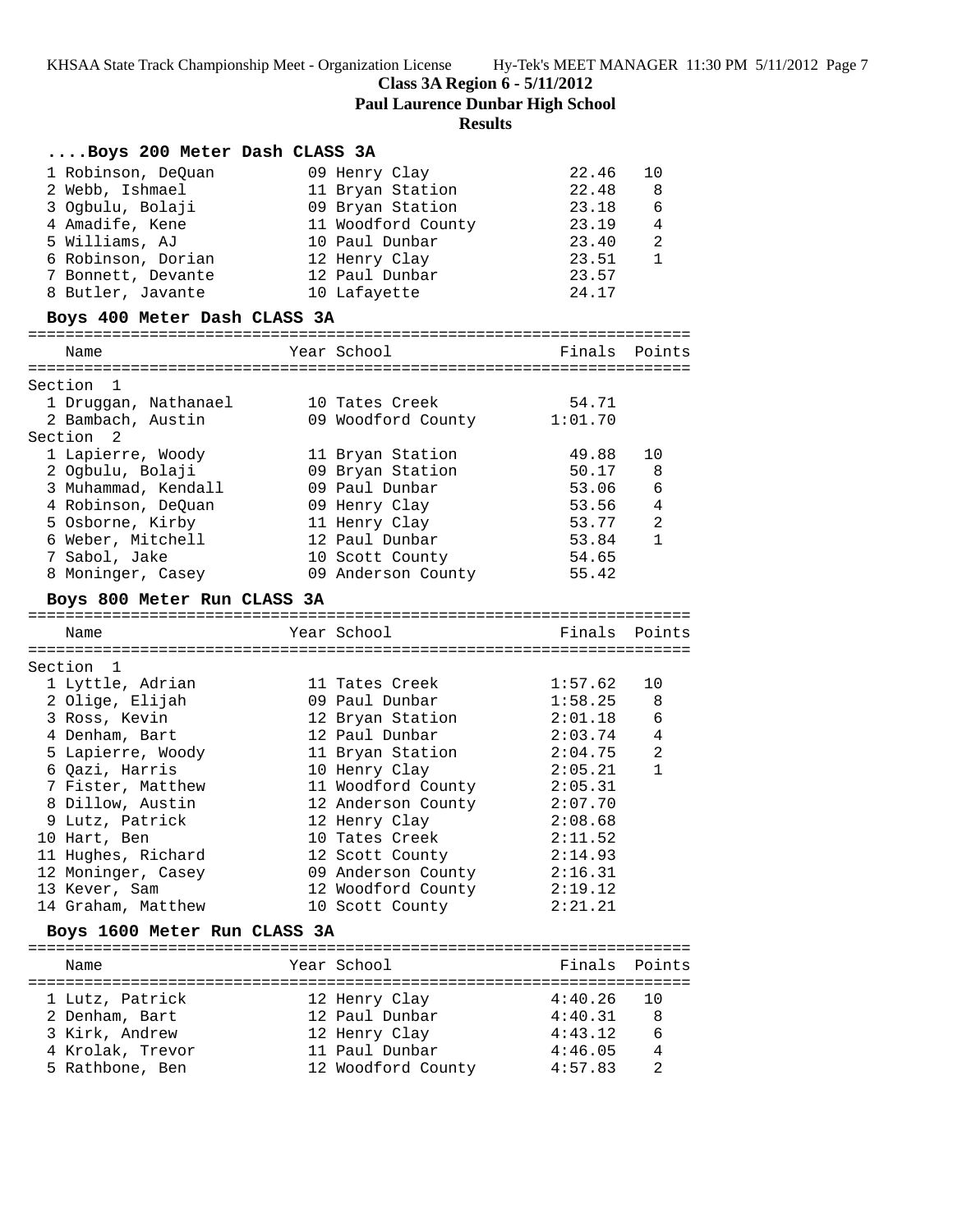**Class 3A Region 6 - 5/11/2012**

|           |                              | <b>Paul Laurence Dunbar High School</b><br><b>Results</b> |         |                |
|-----------|------------------------------|-----------------------------------------------------------|---------|----------------|
|           | Boys 200 Meter Dash CLASS 3A |                                                           |         |                |
|           | 1 Robinson, DeOuan           | 09 Henry Clay                                             | 22.46   | 10             |
|           | 2 Webb, Ishmael              | 11 Bryan Station                                          | 22.48   | 8              |
|           | 3 Ogbulu, Bolaji             | 09 Bryan Station                                          | 23.18   | 6              |
|           | 4 Amadife, Kene              | 11 Woodford County                                        | 23.19   | 4              |
|           | 5 Williams, AJ               | 10 Paul Dunbar                                            | 23.40   | $\overline{2}$ |
|           | 6 Robinson, Dorian           | 12 Henry Clay                                             | 23.51   | $\mathbf{1}$   |
|           | 7 Bonnett, Devante           | 12 Paul Dunbar                                            | 23.57   |                |
|           | 8 Butler, Javante            | 10 Lafayette                                              | 24.17   |                |
|           | Boys 400 Meter Dash CLASS 3A |                                                           |         |                |
|           | Name                         | Year School                                               |         | Finals Points  |
| Section 1 |                              |                                                           |         |                |
|           | 1 Druggan, Nathanael         | 10 Tates Creek                                            | 54.71   |                |
|           | 2 Bambach, Austin            | 09 Woodford County                                        | 1:01.70 |                |
| Section 2 |                              |                                                           |         |                |
|           | 1 Lapierre, Woody            | 11 Bryan Station                                          | 49.88   | 10             |
|           | 2 Ogbulu, Bolaji             | 09 Bryan Station                                          | 50.17   | 8              |
|           | 3 Muhammad, Kendall          | 09 Paul Dunbar                                            | 53.06   | 6              |
|           | 4 Robinson, DeQuan           | 09 Henry Clay                                             | 53.56   | 4              |
|           | 5 Osborne, Kirby             | 11 Henry Clay                                             | 53.77   | 2              |
|           | 6 Weber, Mitchell            | 12 Paul Dunbar                                            | 53.84   | $\mathbf{1}$   |
|           | 7 Sabol, Jake                | 10 Scott County                                           | 54.65   |                |
|           | 8 Moninger, Casey            | 09 Anderson County                                        | 55.42   |                |
|           | Boys 800 Meter Run CLASS 3A  |                                                           |         |                |
|           | Name                         | Year School                                               |         | Finals Points  |
|           |                              |                                                           |         |                |
| Section 1 |                              |                                                           |         |                |
|           | 1 Lyttle, Adrian             | 11 Tates Creek                                            | 1:57.62 | 10             |
|           | 2 Olige, Elijah              | 09 Paul Dunbar                                            | 1:58.25 | 8              |
|           | 3 Ross, Kevin                | 12 Bryan Station                                          | 2:01.18 | 6              |
|           | 4 Denham, Bart               | 12 Paul Dunbar                                            | 2:03.74 | $\overline{4}$ |
|           | 5 Lapierre, Woody            | 11 Bryan Station                                          | 2:04.75 | $\overline{2}$ |
|           | 6 Qazi, Harris               | 10 Henry Clay                                             | 2:05.21 | $\mathbf{1}$   |
|           | 7 Fister, Matthew            | 11 Woodford County                                        | 2:05.31 |                |
|           | 8 Dillow, Austin             | 12 Anderson County                                        | 2:07.70 |                |
|           | 9 Lutz, Patrick              | 12 Henry Clay                                             | 2:08.68 |                |
|           | 10 Hart, Ben                 | 10 Tates Creek                                            | 2:11.52 |                |
|           | 11 Hughes, Richard           | 12 Scott County                                           | 2:14.93 |                |

### ======================================================================= Name The Year School Team Points Points ======================================================================= 1 Lutz, Patrick 12 Henry Clay 4:40.26 10

**Boys 1600 Meter Run CLASS 3A**

| 2 Denham, Bart   | 12 Paul Dunbar     | 4:40.31 | - 8            |
|------------------|--------------------|---------|----------------|
| 3 Kirk, Andrew   | 12 Henry Clay      | 4:43.12 | .F             |
| 4 Krolak, Trevor | 11 Paul Dunbar     | 4:46.05 | -4             |
| 5 Rathbone, Ben  | 12 Woodford County | 4:57.83 | $\overline{2}$ |

 12 Moninger, Casey 09 Anderson County 2:16.31 13 Kever, Sam 12 Woodford County 2:19.12 14 Graham, Matthew 10 Scott County 2:21.21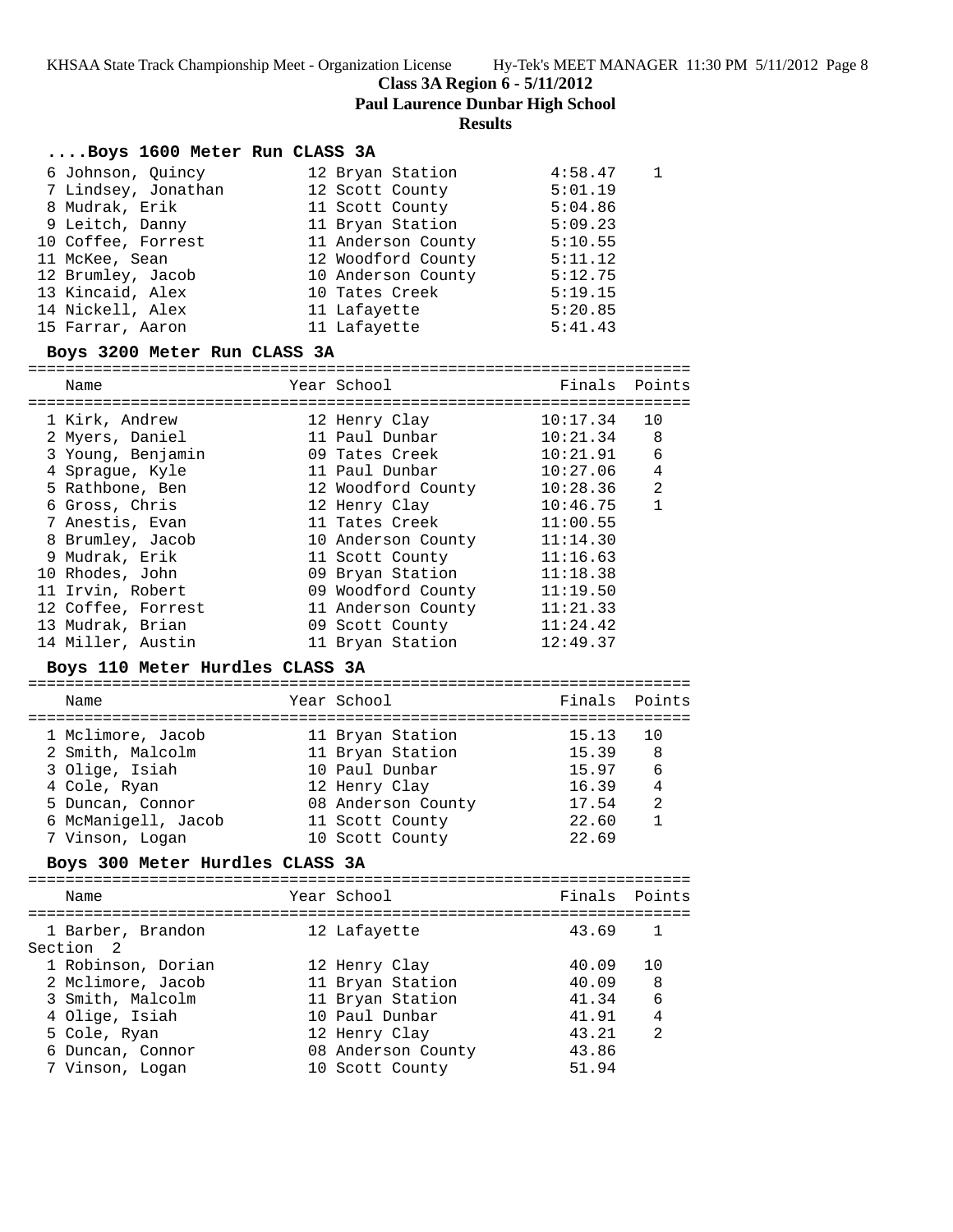**Class 3A Region 6 - 5/11/2012**

**Paul Laurence Dunbar High School**

## **Results**

## **....Boys 1600 Meter Run CLASS 3A**

| 6 Johnson, Ouincy   | 12 Bryan Station   | 4:58.47 |  |
|---------------------|--------------------|---------|--|
| 7 Lindsey, Jonathan | 12 Scott County    | 5:01.19 |  |
| 8 Mudrak, Erik      | 11 Scott County    | 5:04.86 |  |
| 9 Leitch, Danny     | 11 Bryan Station   | 5:09.23 |  |
| 10 Coffee, Forrest  | 11 Anderson County | 5:10.55 |  |
| 11 McKee, Sean      | 12 Woodford County | 5:11.12 |  |
| 12 Brumley, Jacob   | 10 Anderson County | 5:12.75 |  |
| 13 Kincaid, Alex    | 10 Tates Creek     | 5:19.15 |  |
| 14 Nickell, Alex    | 11 Lafayette       | 5:20.85 |  |
| 15 Farrar, Aaron    | 11 Lafayette       | 5:41.43 |  |

### **Boys 3200 Meter Run CLASS 3A**

=======================================================================

| Name                            | Year School        | Finals   | Points       |
|---------------------------------|--------------------|----------|--------------|
| 1 Kirk, Andrew                  | 12 Henry Clay      | 10:17.34 | 10           |
| 2 Myers, Daniel                 | 11 Paul Dunbar     | 10:21.34 | 8            |
| 3 Young, Benjamin               | 09 Tates Creek     | 10:21.91 | 6            |
| 4 Sprague, Kyle                 | 11 Paul Dunbar     | 10:27.06 | 4            |
| 5 Rathbone, Ben                 | 12 Woodford County | 10:28.36 | 2            |
| 6 Gross, Chris                  | 12 Henry Clay      | 10:46.75 | $\mathbf{1}$ |
| 7 Anestis, Evan                 | 11 Tates Creek     | 11:00.55 |              |
| 8 Brumley, Jacob                | 10 Anderson County | 11:14.30 |              |
| 9 Mudrak, Erik                  | 11 Scott County    | 11:16.63 |              |
| 10 Rhodes, John                 | 09 Bryan Station   | 11:18.38 |              |
| 11 Irvin, Robert                | 09 Woodford County | 11:19.50 |              |
| 12 Coffee, Forrest              | 11 Anderson County | 11:21.33 |              |
| 13 Mudrak, Brian                | 09 Scott County    | 11:24.42 |              |
| 14 Miller, Austin               | 11 Bryan Station   | 12:49.37 |              |
| Boys 110 Meter Hurdles CLASS 3A |                    |          |              |
| Name                            | Year School        | Finals   | Points       |
| 1 Mclimore, Jacob               | 11 Bryan Station   | 15.13    | 10           |
| 2 Smith, Malcolm                | 11 Bryan Station   | 15.39    | 8            |
| 3 Olige, Isiah                  | 10 Paul Dunbar     | 15.97    | 6            |
| 4 Cole, Ryan                    | 12 Henry Clay      | 16.39    | 4            |
| 5 Duncan, Connor                | 08 Anderson County | 17.54    | 2            |
| 6 McManigell, Jacob             | 11 Scott County    | 22.60    | $\mathbf{1}$ |
| 7 Vinson, Logan                 | 10 Scott County    | 22.69    |              |
| Boys 300 Meter Hurdles CLASS 3A |                    |          |              |
| Name                            | Year School        | Finals   | Points       |
|                                 |                    |          |              |
| 1 Barber, Brandon               | 12 Lafayette       | 43.69    | 1            |
| Section <sub>2</sub>            |                    |          |              |
| 1 Robinson, Dorian              | 12 Henry Clay      | 40.09    | 10           |
| 2 Mclimore, Jacob               | 11 Bryan Station   | 40.09    | 8            |
| 3 Smith, Malcolm                | 11 Bryan Station   | 41.34    | 6            |
| 4 Olige, Isiah                  | 10 Paul Dunbar     | 41.91    | 4            |
| 5 Cole, Ryan                    | 12 Henry Clay      | 43.21    | 2            |
| 6 Duncan, Connor                | 08 Anderson County | 43.86    |              |
| 7 Vinson, Logan                 | 10 Scott County    | 51.94    |              |
|                                 |                    |          |              |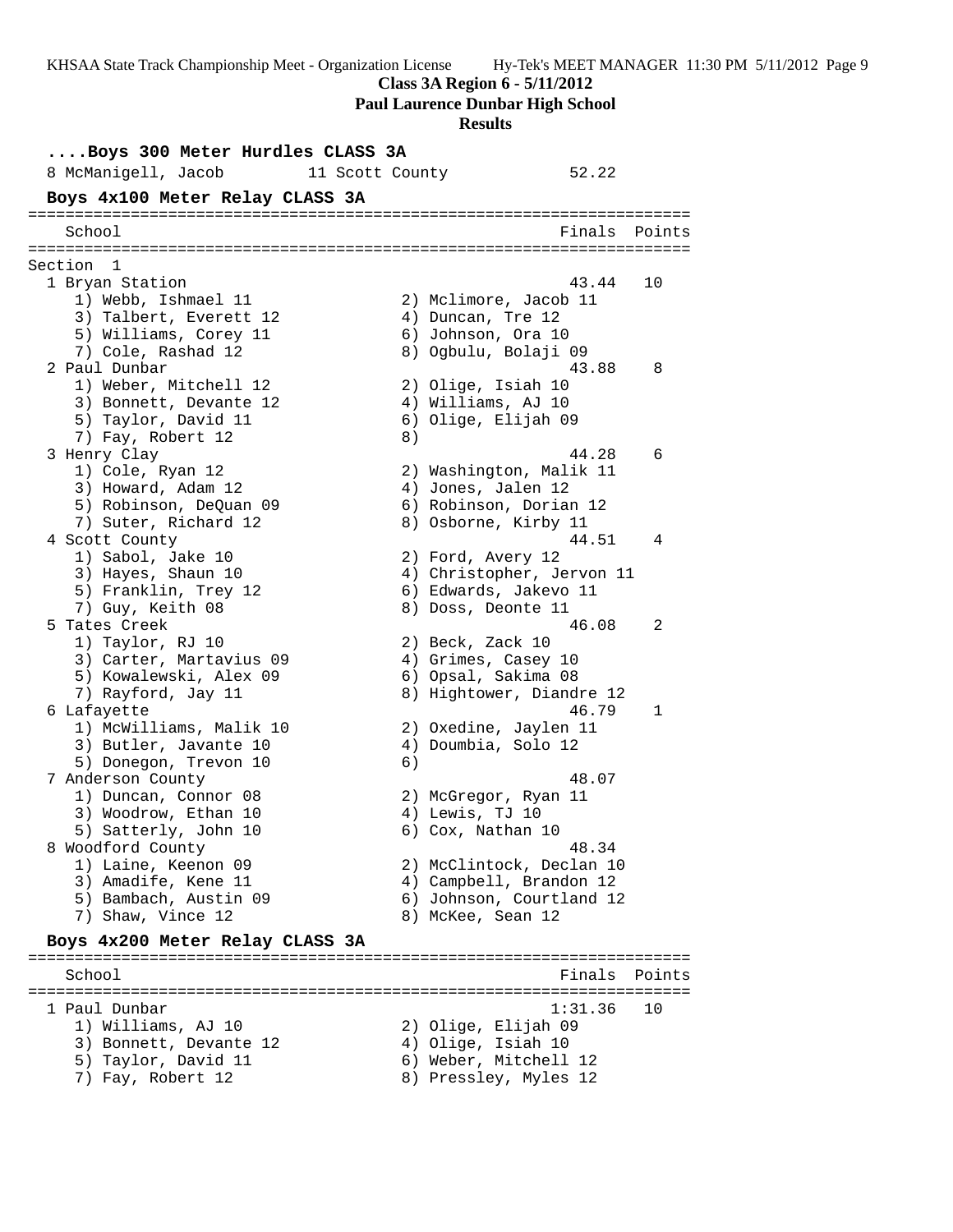**Class 3A Region 6 - 5/11/2012**

**Paul Laurence Dunbar High School**

#### **Results**

**....Boys 300 Meter Hurdles CLASS 3A** 8 McManigell, Jacob 11 Scott County 52.22 **Boys 4x100 Meter Relay CLASS 3A** ======================================================================= School **Finals** Points ======================================================================= Section 1 1 Bryan Station 43.44 10 1) Webb, Ishmael 11 2) Mclimore, Jacob 11 3) Talbert, Everett 12 4) Duncan, Tre 12 5) Williams, Corey 11 6) Johnson, Ora 10 7) Cole, Rashad 12 8) Ogbulu, Bolaji 09 2 Paul Dunbar 43.88 8 1) Weber, Mitchell 12 2) Olige, Isiah 10 3) Bonnett, Devante 12 (4) Williams, AJ 10 5) Taylor, David 11 6) Olige, Elijah 09 7) Fay, Robert 12 (8) 3 Henry Clay 44.28 6 1) Cole, Ryan 12 2) Washington, Malik 11 3) Howard, Adam 12 4) Jones, Jalen 12 5) Robinson, DeQuan 09 6) Robinson, Dorian 12 7) Suter, Richard 12 (8) Osborne, Kirby 11 4 Scott County 44.51 4 1) Sabol, Jake 10 2) Ford, Avery 12 3) Hayes, Shaun 10 4) Christopher, Jervon 11 5) Franklin, Trey 12 6) Edwards, Jakevo 11 7) Guy, Keith 08 8) Doss, Deonte 11 5 Tates Creek 46.08 2 1) Taylor, RJ 10 2) Beck, Zack 10 3) Carter, Martavius 09 4) Grimes, Casey 10 5) Kowalewski, Alex 09 (6) Opsal, Sakima 08 7) Rayford, Jay 11 8) Hightower, Diandre 12 6 Lafayette 46.79 1 1) McWilliams, Malik 10 2) Oxedine, Jaylen 11 3) Butler, Javante 10 4) Doumbia, Solo 12 5) Donegon, Trevon 10 (6) 7 Anderson County 48.07 1) Duncan, Connor 08 2) McGregor, Ryan 11 3) Woodrow, Ethan 10  $\qquad \qquad$  4) Lewis, TJ 10 5) Satterly, John 10 6) Cox, Nathan 10 8 Woodford County 48.34 1) Laine, Keenon 09 2) McClintock, Declan 10 3) Amadife, Kene 11 4) Campbell, Brandon 12 5) Bambach, Austin 09 6) Johnson, Courtland 12 7) Shaw, Vince 12 8) McKee, Sean 12 **Boys 4x200 Meter Relay CLASS 3A** ======================================================================= School **Finals Points** ======================================================================= 1 Paul Dunbar 1:31.36 10 1) Williams, AJ 10 2) Olige, Elijah 09 3) Bonnett, Devante 12 4) Olige, Isiah 10 5) Taylor, David 11 6) Weber, Mitchell 12 7) Fay, Robert 12 8) Pressley, Myles 12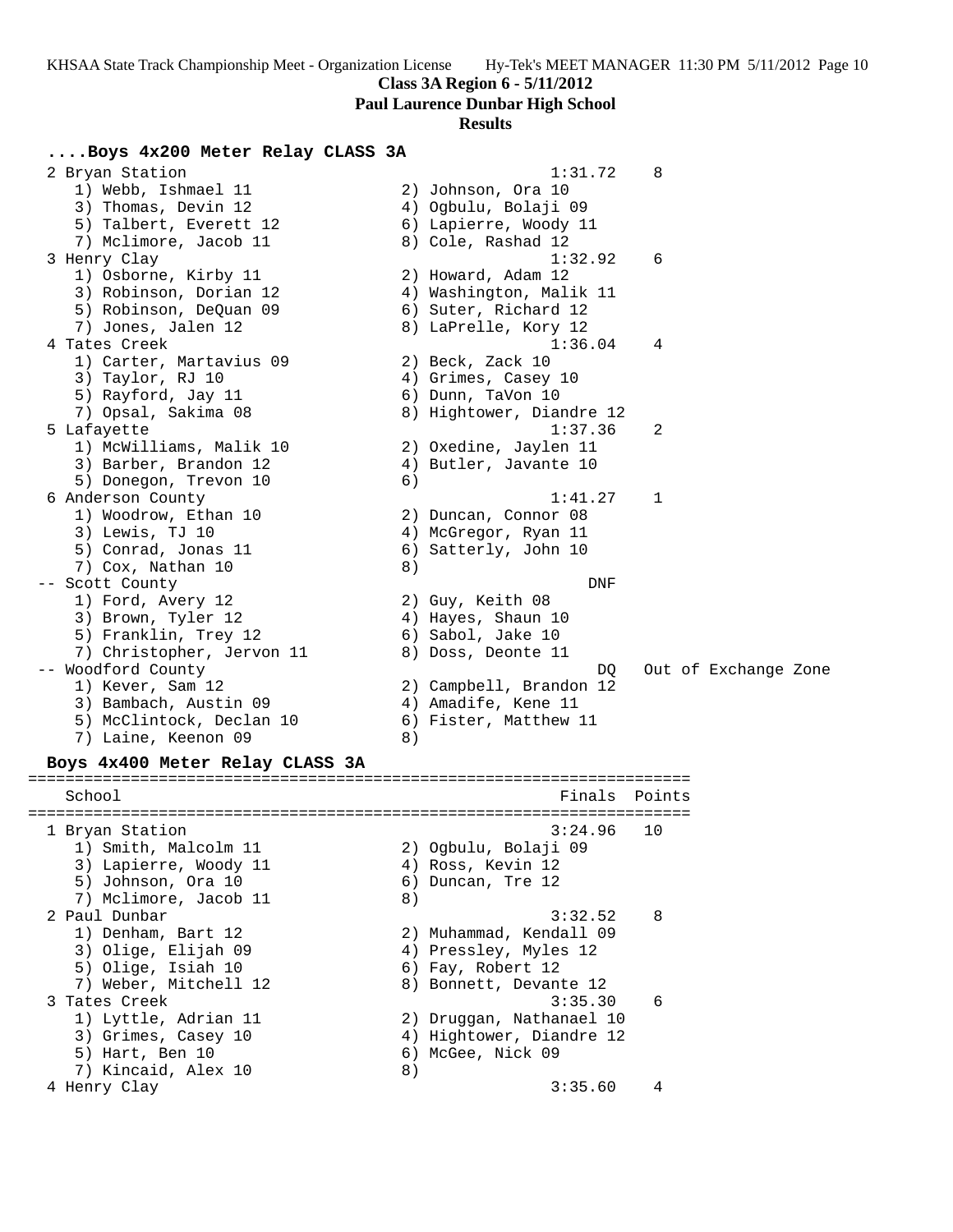**Paul Laurence Dunbar High School**

### **Results**

## **....Boys 4x200 Meter Relay CLASS 3A**

2 Bryan Station 2 and 2 and 2 and 2 and 2 and 2 and 2 and 2 and 2 and 2 and 2 and 2 and 2 and 2 and 2 and 2 and 2 and 2 and 2 and 2 and 2 and 2 and 2 and 2 and 2 and 2 and 2 and 2 and 2 and 2 and 2 and 2 and 2 and 2 and 2 1) Webb, Ishmael 11 2) Johnson, Ora 10 3) Thomas, Devin 12 4) Ogbulu, Bolaji 09 5) Talbert, Everett 12 6) Lapierre, Woody 11 7) Mclimore, Jacob 11 8) Cole, Rashad 12 3 Henry Clay 1:32.92 6 1) Osborne, Kirby 11 2) Howard, Adam 12 3) Robinson, Dorian 12 4) Washington, Malik 11 5) Robinson, DeQuan 09 6) Suter, Richard 12 7) Jones, Jalen 12 8) LaPrelle, Kory 12 4 Tates Creek 1:36.04 4 1) Carter, Martavius 09 (2) Beck, Zack 10 3) Taylor, RJ 10 (4) Grimes, Casey 10 5) Rayford, Jay 11 6) Dunn, TaVon 10 7) Opsal, Sakima 08 8) Hightower, Diandre 12 5 Lafayette 1:37.36 2 1) McWilliams, Malik 10 2) Oxedine, Jaylen 11 3) Barber, Brandon 12 4) Butler, Javante 10 5) Donegon, Trevon 10 (6) 6 Anderson County 1:41.27 1 1) Woodrow, Ethan 10 2) Duncan, Connor 08 3) Lewis, TJ 10 (4) McGregor, Ryan 11 5) Conrad, Jonas 11 6) Satterly, John 10 7) Cox, Nathan 10 8) -- Scott County DNF 1) Ford, Avery 12 2) Guy, Keith 08 3) Brown, Tyler 12 4) Hayes, Shaun 10 5) Franklin, Trey 12 (6) Sabol, Jake 10 7) Christopher, Jervon 11 (8) Doss, Deonte 11 -- Woodford County DQ Out of Exchange Zone 1) Kever, Sam 12 2) Campbell, Brandon 12 3) Bambach, Austin 09 (4) Amadife, Kene 11 5) McClintock, Declan 10 6) Fister, Matthew 11 7) Laine, Keenon 09 (8)

## **Boys 4x400 Meter Relay CLASS 3A**

======================================================================= School **Finals** Points ======================================================================= 1 Bryan Station 3:24.96 10 1) Smith, Malcolm 11 2) Ogbulu, Bolaji 09 3) Lapierre, Woody 11  $\hskip1cm \hskip1cm 4$ ) Ross, Kevin 12 5) Johnson, Ora 10 6) Duncan, Tre 12 7) Mclimore, Jacob 11 8) 2 Paul Dunbar 3:32.52 8 1) Denham, Bart 12 2) Muhammad, Kendall 09 3) Olige, Elijah 09 4) Pressley, Myles 12 5) Olige, Isiah 10 6) Fay, Robert 12 7) Weber, Mitchell 12 8) Bonnett, Devante 12 3 Tates Creek 3:35.30 6 1) Lyttle, Adrian 11 2) Druggan, Nathanael 10 3) Grimes, Casey 10 4) Hightower, Diandre 12 5) Hart, Ben 10 6) McGee, Nick 09 7) Kincaid, Alex 10 8) 4 Henry Clay 3:35.60 4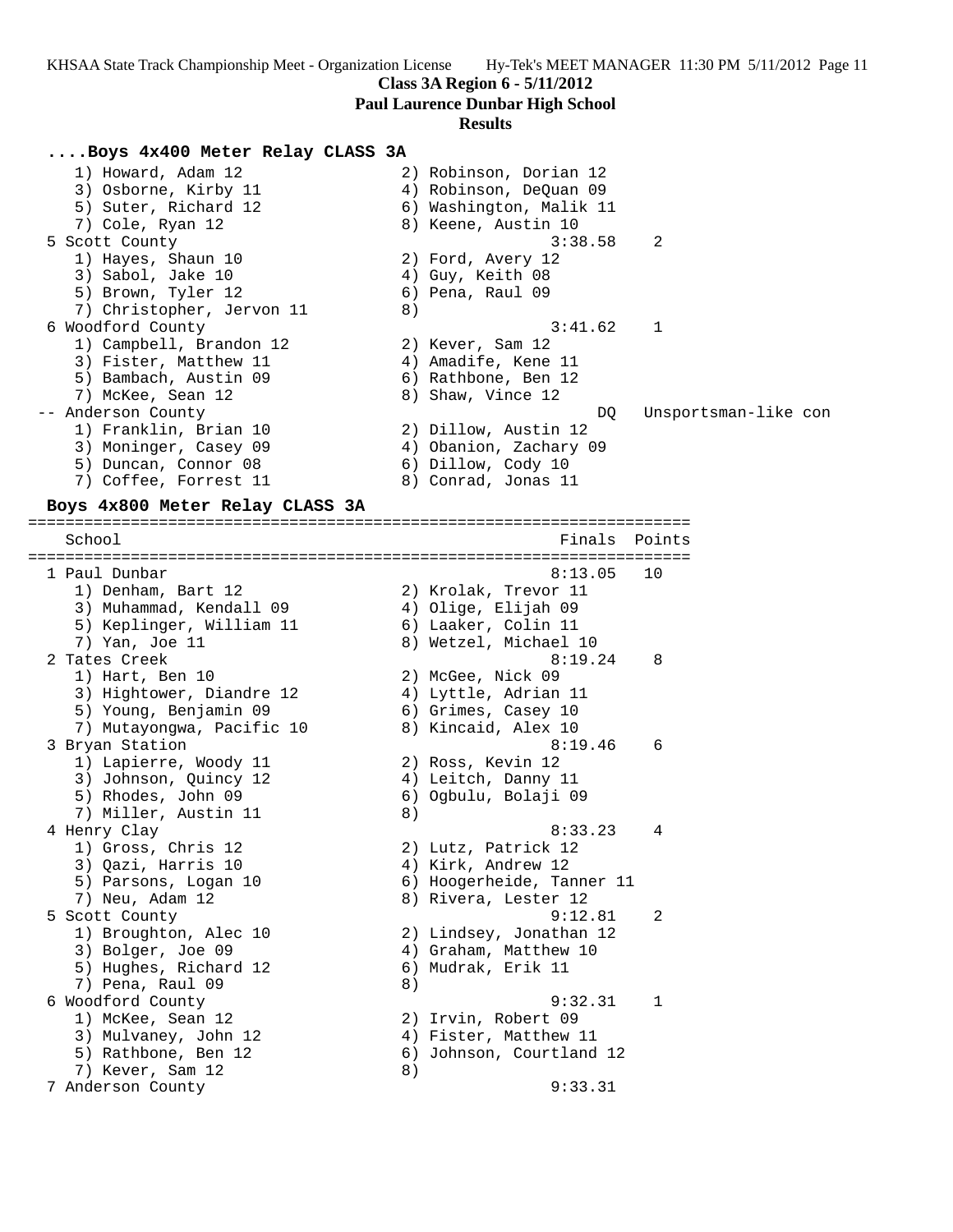### **Class 3A Region 6 - 5/11/2012**

**Paul Laurence Dunbar High School**

#### **Results**

### **....Boys 4x400 Meter Relay CLASS 3A**

 1) Howard, Adam 12 2) Robinson, Dorian 12 3) Osborne, Kirby 11  $\hskip10mm 4$ ) Robinson, DeQuan 09 5) Suter, Richard 12 6) Washington, Malik 11 7) Cole, Ryan 12 8) Keene, Austin 10 5 Scott County 3:38.58 2 1) Hayes, Shaun 10 2) Ford, Avery 12 3) Sabol, Jake 10 4) Guy, Keith 08 5) Brown, Tyler 12 (6) Pena, Raul 09 7) Christopher, Jervon 11 8) 6 Woodford County 3:41.62 1 1) Campbell, Brandon 12 (2) Kever, Sam 12 3) Fister, Matthew 11 (4) Amadife, Kene 11 5) Bambach, Austin 09 (6) Rathbone, Ben 12 7) McKee, Sean 12 8) Shaw, Vince 12 -- Anderson County DQ Unsportsman-like con 1) Franklin, Brian 10 2) Dillow, Austin 12 3) Moninger, Casey 09 4) Obanion, Zachary 09 5) Duncan, Connor 08 6) Dillow, Cody 10 7) Coffee, Forrest 11 and 8) Conrad, Jonas 11

#### **Boys 4x800 Meter Relay CLASS 3A** =======================================================================

School **Finals Points** ======================================================================= 1 Paul Dunbar 8:13.05 10 1) Denham, Bart 12 2) Krolak, Trevor 11 3) Muhammad, Kendall 09 4) Olige, Elijah 09 5) Keplinger, William 11 6) Laaker, Colin 11 7) Yan, Joe 11 8) Wetzel, Michael 10 2 Tates Creek 8:19.24 8 1) Hart, Ben 10 2) McGee, Nick 09 3) Hightower, Diandre 12 (4) Lyttle, Adrian 11 5) Young, Benjamin 09 (6) Grimes, Casey 10 7) Mutayongwa, Pacific 10 (8) Rincaid, Alex 10 3 Bryan Station 6 (19.46 6) 1) Lapierre, Woody 11  $\qquad \qquad$  2) Ross, Kevin 12 3) Johnson, Quincy 12 (4) Leitch, Danny 11 5) Rhodes, John 09 6) Ogbulu, Bolaji 09 7) Miller, Austin 11 (8) 4 Henry Clay 8:33.23 4 1) Gross, Chris 12 2) Lutz, Patrick 12 3) Qazi, Harris 10  $\qquad \qquad$  4) Kirk, Andrew 12 5) Parsons, Logan 10 6) Hoogerheide, Tanner 11 7) Neu, Adam 12 8) Rivera, Lester 12 5 Scott County 9:12.81 2 1) Broughton, Alec 10 2) Lindsey, Jonathan 12 3) Bolger, Joe 09 4) Graham, Matthew 10 5) Hughes, Richard 12 6) Mudrak, Erik 11 7) Pena, Raul 09 8) 6 Woodford County 9:32.31 1 1) McKee, Sean 12 2) Irvin, Robert 09 3) Mulvaney, John 12  $\hskip10mm$  4) Fister, Matthew 11 5) Rathbone, Ben 12 6) Johnson, Courtland 12 7) Kever, Sam 12 8) 7 Anderson County 9:33.31